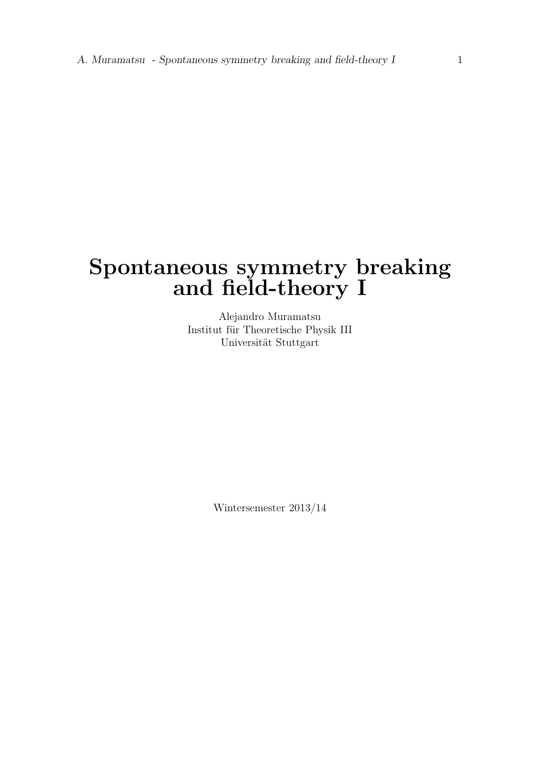## Spontaneous symmetry breaking and field-theory I

Alejandro Muramatsu Institut für Theoretische Physik III Universität Stuttgart

Wintersemester 2013/14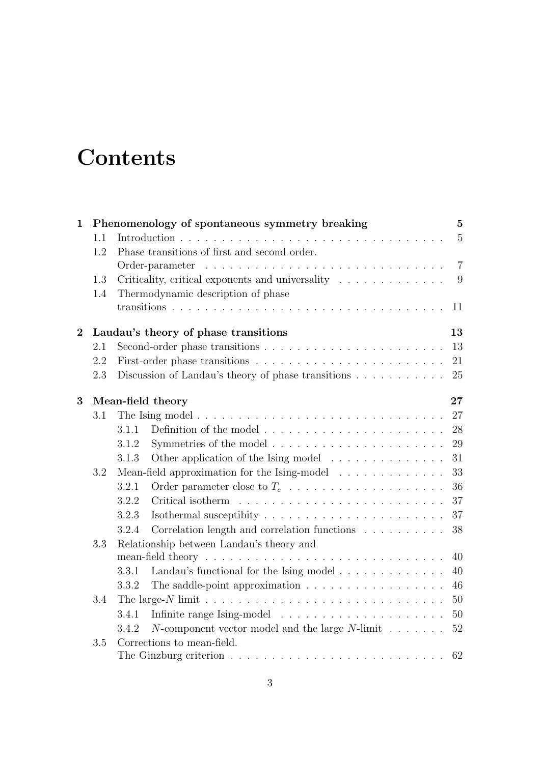## **Contents**

| $\mathbf{1}$   | Phenomenology of spontaneous symmetry breaking |       |                                                                                                                                                                                                                                                   |                |
|----------------|------------------------------------------------|-------|---------------------------------------------------------------------------------------------------------------------------------------------------------------------------------------------------------------------------------------------------|----------------|
|                | 1.1                                            |       |                                                                                                                                                                                                                                                   | $5\,$          |
|                | 1.2                                            |       | Phase transitions of first and second order.                                                                                                                                                                                                      |                |
|                |                                                |       | Order-parameter<br>and the contract of the contract of the contract of the contract of the contract of the contract of the contract of the contract of the contract of the contract of the contract of the contract of the contract of the contra | $\overline{7}$ |
|                | 1.3                                            |       | Criticality, critical exponents and universality                                                                                                                                                                                                  | 9              |
|                | 1.4                                            |       | Thermodynamic description of phase                                                                                                                                                                                                                |                |
|                |                                                |       |                                                                                                                                                                                                                                                   | 11             |
| $\overline{2}$ |                                                |       | Laudau's theory of phase transitions                                                                                                                                                                                                              | 13             |
|                | 2.1                                            |       |                                                                                                                                                                                                                                                   | 13             |
|                | 2.2                                            |       |                                                                                                                                                                                                                                                   | 21             |
|                | 2.3                                            |       | Discussion of Landau's theory of phase transitions                                                                                                                                                                                                | 25             |
| 3              |                                                |       | Mean-field theory                                                                                                                                                                                                                                 | $27\,$         |
|                | 3.1                                            |       |                                                                                                                                                                                                                                                   | 27             |
|                |                                                | 3.1.1 |                                                                                                                                                                                                                                                   | 28             |
|                |                                                | 3.1.2 |                                                                                                                                                                                                                                                   | 29             |
|                |                                                | 3.1.3 | Other application of the Ising model                                                                                                                                                                                                              | 31             |
|                | 3.2                                            |       | Mean-field approximation for the Ising-model                                                                                                                                                                                                      | 33             |
|                |                                                | 3.2.1 | Order parameter close to $T_c$                                                                                                                                                                                                                    | 36             |
|                |                                                | 3.2.2 |                                                                                                                                                                                                                                                   | 37             |
|                |                                                | 3.2.3 |                                                                                                                                                                                                                                                   | 37             |
|                |                                                | 3.2.4 | Correlation length and correlation functions                                                                                                                                                                                                      | 38             |
|                | 3.3                                            |       | Relationship between Landau's theory and                                                                                                                                                                                                          |                |
|                |                                                |       |                                                                                                                                                                                                                                                   | 40             |
|                |                                                | 3.3.1 | Landau's functional for the Ising model                                                                                                                                                                                                           | 40             |
|                |                                                | 3.3.2 | The saddle-point approximation $\ldots \ldots \ldots \ldots \ldots \ldots$                                                                                                                                                                        | 46             |
|                | 3.4                                            |       |                                                                                                                                                                                                                                                   | 50             |
|                |                                                | 3.4.1 |                                                                                                                                                                                                                                                   | 50             |
|                |                                                | 3.4.2 | <i>N</i> -component vector model and the large <i>N</i> -limit $\ldots \ldots$                                                                                                                                                                    | $52\,$         |
|                | 3.5                                            |       | Corrections to mean-field.                                                                                                                                                                                                                        |                |
|                |                                                |       |                                                                                                                                                                                                                                                   | 62             |